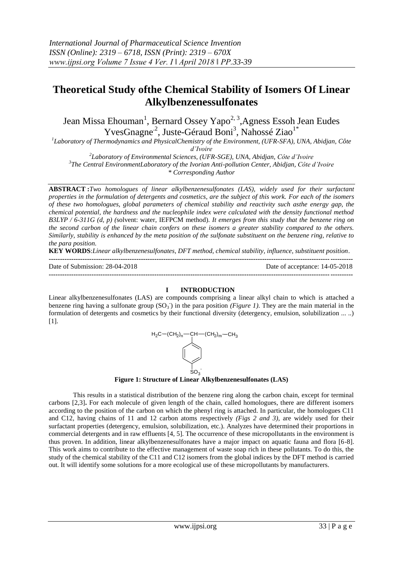# **Theoretical Study ofthe Chemical Stability of Isomers Of Linear Alkylbenzenessulfonates**

Jean Missa Ehouman<sup>1</sup>, Bernard Ossey Yapo<sup>2, 3</sup>, Agness Essoh Jean Eudes <sup>1</sup>Laboratory of Thermodynamics and PhysicalChemistry of the Environment, (UFR-SFA), UNA, Abidjan, Côte

*d'Ivoire*

*2 Laboratory of Environmental Sciences, (UFR-SGE), UNA, Abidjan, Côte d'Ivoire 3 The Central EnvironmentLaboratory of the Ivorian Anti-pollution Center, Abidjan, Côte d'Ivoire*

*\* Corresponding Author* 

**ABSTRACT :***Two homologues of linear alkylbenzenesulfonates (LAS), widely used for their surfactant properties in the formulation of detergents and cosmetics, are the subject of this work. For each of the isomers of these two homologues, global parameters of chemical stability and reactivity such asthe energy gap, the chemical potential, the hardness and the nucleophile index were calculated with the density functional method B3LYP / 6-311G (d, p) (*solvent: water, IEFPCM method)*. It emerges from this study that the benzene ring on the second carbon of the linear chain confers on these isomers a greater stability compared to the others. Similarly, stability is enhanced by the meta position of the sulfonate substituent on the benzene ring, relative to the para position.*

**KEY WORDS**:*Linear alkylbenzenesulfonates, DFT method, chemical stability, influence, substituent position*.

**---------------------------------------------------------------------------------------------------------------------------------------** Date of Submission: 28-04-2018 Date of acceptance: 14-05-2018 **---------------------------------------------------------------------------------------------------------------------------------------**

## **I INTRODUCTION**

Linear alkylbenzenesulfonates (LAS) are compounds comprising a linear alkyl chain to which is attached a benzene ring having a sulfonate group  $(SO_3^-)$  in the para position *(Figure 1)*. They are the main material in the formulation of detergents and cosmetics by their functional diversity (detergency, emulsion, solubilization ... ..) [1].



**Figure 1: Structure of Linear Alkylbenzenesulfonates (LAS)**

This results in a statistical distribution of the benzene ring along the carbon chain, except for terminal carbons [2,3]**.** For each molecule of given length of the chain, called homologues, there are different isomers according to the position of the carbon on which the phenyl ring is attached. In particular, the homologues C11 and C12, having chains of 11 and 12 carbon atoms respectively *(Figs 2 and 3)*, are widely used for their surfactant properties (detergency, emulsion, solubilization, etc.). Analyzes have determined their proportions in commercial detergents and in raw effluents [4, 5]. The occurrence of these micropollutants in the environment is thus proven. In addition, linear alkylbenzenesulfonates have a major impact on aquatic fauna and flora [6-8]. This work aims to contribute to the effective management of waste soap rich in these pollutants. To do this, the study of the chemical stability of the C11 and C12 isomers from the global indices by the DFT method is carried out. It will identify some solutions for a more ecological use of these micropollutants by manufacturers.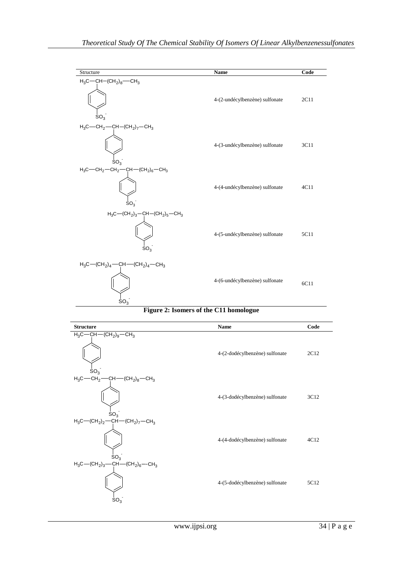| Structure                                                                                            | <b>Name</b>                    | Code |
|------------------------------------------------------------------------------------------------------|--------------------------------|------|
| $H_3C - CH - (CH_2)_8 - CH_3$<br>SO <sub>3</sub>                                                     | 4-(2-undécylbenzène) sulfonate | 2C11 |
| $H_3C$ - CH <sub>2</sub> - CH - (CH <sub>2</sub> ) <sub>7</sub> - CH <sub>3</sub><br>SO <sub>3</sub> | 4-(3-undécylbenzène) sulfonate | 3C11 |
| $H_3C$ $-CH_2$ $-CH_2$ $-CH_2$ $-CH$ $-(CH_2)_6$ $-CH_3$<br>$SO_3$                                   | 4-(4-undécylbenzène) sulfonate | 4C11 |
| $H_3C - (CH_2)_3 - CH - (CH_2)_5 - CH_3$<br>$SO_{3}$                                                 | 4-(5-undécylbenzène) sulfonate | 5C11 |
| $H_3C - (CH_2)_4 - CH - (CH_2)_4 - CH_3$<br>SO <sub>3</sub>                                          | 4-(6-undécylbenzène) sulfonate | 6C11 |

## **Figure 2: Isomers of the C11 homologue**

| <b>Structure</b>                                                                                | <b>Name</b>                    | Code |
|-------------------------------------------------------------------------------------------------|--------------------------------|------|
| $H_3C$ - CH - (CH <sub>2</sub> ) <sub>9</sub> - CH <sub>3</sub><br>SO <sub>3</sub>              | 4-(2-dodécylbenzène) sulfonate | 2C12 |
| $H_3C$ —CH <sub>2</sub> —CH—(CH <sub>2</sub> ) <sub>8</sub> —CH <sub>3</sub><br>SO <sub>3</sub> | 4-(3-dodécylbenzène) sulfonate | 3C12 |
| $H_3C - (CH_2)_2 - CH - (CH_2)_7 - CH_3$<br>SO <sub>3</sub>                                     | 4-(4-dodécylbenzène) sulfonate | 4C12 |
| $H_3C - (CH_2)_3 - CH - (CH_2)_6 - CH_3$<br>SO <sub>3</sub>                                     | 4-(5-dodécylbenzène) sulfonate | 5C12 |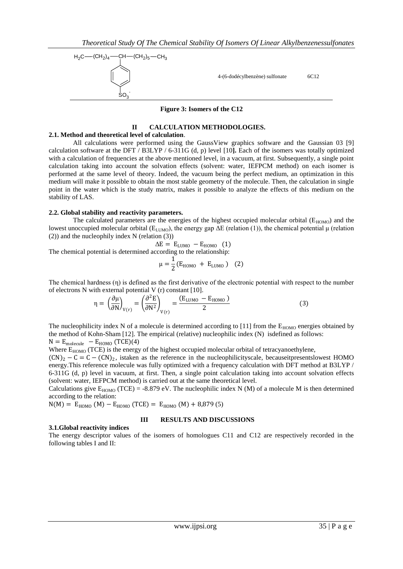

**Figure 3: Isomers of the C12** 

## **II CALCULATION METHODOLOGIES.**

### **2.1. Method and theoretical level of calculation**.

(84)<sub>*A*</sub> - (34)<sub></sub>*A*<sub>3</sub> - (34)<sub>*A*<sub>3</sub> - (34)</sub><br> **Example 31 Example 32 Example 32 Example 32 Example 32 Example 32 Example 32 Example 32 Example 32 Example 32 Example 32 Example 32 Example 32 Exa** All calculations were performed using the GaussView graphics software and the Gaussian 03 [9] calculation software at the DFT / B3LYP / 6-311G (d, p) level [10**].** Each of the isomers was totally optimized with a calculation of frequencies at the above mentioned level, in a vacuum, at first. Subsequently, a single point calculation taking into account the solvation effects (solvent: water, IEFPCM method) on each isomer is performed at the same level of theory. Indeed, the vacuum being the perfect medium, an optimization in this medium will make it possible to obtain the most stable geometry of the molecule. Then, the calculation in single point in the water which is the study matrix, makes it possible to analyze the effects of this medium on the stability of LAS.

## **2.2. Global stability and reactivity parameters.**

The calculated parameters are the energies of the highest occupied molecular orbital ( $E_{HOMO}$ ) and the lowest unoccupied molecular orbital (E<sub>LUMO</sub>), the energy gap ΔE (relation (1)), the chemical potential μ (relation (2)) and the nucleophily index N (relation (3))

$$
\Delta E = E_{LUMO} - E_{HOMO} \quad (1)
$$

The chemical potential is determined according to the relationship:

$$
\mu = \frac{1}{2} (E_{HOMO} + E_{LUMO})
$$
 (2)

The chemical hardness (η) is defined as the first derivative of the electronic potential with respect to the number of electrons N with external potential V (r) constant [10].

$$
\eta = \left(\frac{\partial \mu}{\partial N}\right)_{V(r)} = \left(\frac{\partial^2 E}{\partial N^2}\right)_{V(r)} = \frac{(E_{LUMO} - E_{HOMO})}{2}
$$
(3)

The nucleophilicity index N of a molecule is determined according to [11] from the  $E_{HOMO}$  energies obtained by the method of Kohn-Sham [12]. The empirical (relative) nucleophilic index (N) isdefined as follows:  $N = E_{\text{molecule}} - E_{\text{HOMO}} (TCE)(4)$ 

Where E<sub>HOMO</sub> (TCE) is the energy of the highest occupied molecular orbital of tetracyanoethylene,

 $(CN)<sub>2</sub> - C = C - (CN)<sub>2</sub>$ , istaken as the reference in the nucleophilicityscale, becauseitpresentslowest HOMO energy.This reference molecule was fully optimized with a frequency calculation with DFT method at B3LYP / 6-311G (d, p) level in vacuum, at first. Then, a single point calculation taking into account solvation effects (solvent: water, IEFPCM method) is carried out at the same theoretical level.

Calculations give  $E_{HOMO}$  (TCE) = -8.879 eV. The nucleophilic index N (M) of a molecule M is then determined according to the relation:

 $N(M) = E_{HOMO} (M) - E_{HOMO} (TCE) = E_{HOMO} (M) + 8,879(5)$ 

## **III RESULTS AND DISCUSSIONS**

## **3.1.Global reactivity indices**

The energy descriptor values of the isomers of homologues C11 and C12 are respectively recorded in the following tables I and II: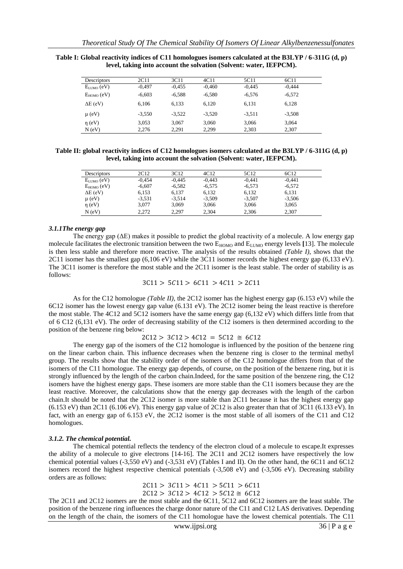| Descriptors     | 2C11     | 3C11     | 4C11     | 5C11     | 6C11     |  |
|-----------------|----------|----------|----------|----------|----------|--|
| $E_{LUMO}$ (eV) | $-0.497$ | $-0.455$ | $-0.460$ | $-0.445$ | $-0.444$ |  |
| $E_{HOMO}$ (eV) | $-6,603$ | $-6,588$ | $-6,580$ | $-6,576$ | $-6,572$ |  |
| $\Delta E$ (eV) | 6.106    | 6,133    | 6,120    | 6,131    | 6,128    |  |
| $\mu$ (eV)      | $-3,550$ | $-3,522$ | $-3,520$ | $-3.511$ | $-3.508$ |  |
| $\eta$ (eV)     | 3.053    | 3.067    | 3.060    | 3,066    | 3.064    |  |
| N(eV)           | 2,276    | 2,291    | 2,299    | 2,303    | 2,307    |  |

**Table I: Global reactivity indices of C11 homologues isomers calculated at the B3LYP / 6-311G (d, p) level, taking into account the solvation (Solvent: water, IEFPCM).**

**Table II: global reactivity indices of C12 homologues isomers calculated at the B3LYP / 6-311G (d, p) level, taking into account the solvation (Solvent: water, IEFPCM).**

| Descriptors     | 2C12     | 3C <sub>12</sub> | 4C <sub>12</sub> | 5C <sub>12</sub> | 6C12     |  |
|-----------------|----------|------------------|------------------|------------------|----------|--|
| $E_{LUMO}$ (eV) | $-0.454$ | $-0.445$         | $-0.443$         | $-0.441$         | $-0.441$ |  |
| $E_{HOMO}$ (eV) | $-6.607$ | $-6.582$         | $-6.575$         | $-6,573$         | $-6.572$ |  |
| $\Delta E$ (eV) | 6.153    | 6.137            | 6.132            | 6,132            | 6,131    |  |
| $\mu$ (eV)      | $-3.531$ | $-3.514$         | $-3.509$         | $-3,507$         | $-3.506$ |  |
| $\eta$ (eV)     | 3.077    | 3.069            | 3,066            | 3,066            | 3,065    |  |
| $N$ (eV)        | 2.272    | 2.297            | 2,304            | 2,306            | 2,307    |  |

#### *3.1.1The energy gap*

The energy gap (ΔE) makes it possible to predict the global reactivity of a molecule. A low energy gap molecule facilitates the electronic transition between the two  $E_{HOMO}$  and  $E_{LUMO}$  energy levels [13]. The molecule is then less stable and therefore more reactive. The analysis of the results obtained *(Table I)*, shows that the 2C11 isomer has the smallest gap (6,106 eV) while the 3C11 isomer records the highest energy gap (6,133 eV). The 3C11 isomer is therefore the most stable and the 2C11 isomer is the least stable. The order of stability is as follows:

$$
3C11 > 5C11 > 6C11 > 4C11 > 2C11
$$

As for the C12 homologue *(Table II)*, the 2C12 isomer has the highest energy gap (6.153 eV) while the 6C12 isomer has the lowest energy gap value (6.131 eV). The 2C12 isomer being the least reactive is therefore the most stable. The 4C12 and 5C12 isomers have the same energy gap (6,132 eV) which differs little from that of 6 C12 (6,131 eV). The order of decreasing stability of the C12 isomers is then determined according to the position of the benzene ring below:

 $2C12 > 3C12 > 4C12 = 5C12 \approx 6C12$ 

The energy gap of the isomers of the C12 homologue is influenced by the position of the benzene ring on the linear carbon chain. This influence decreases when the benzene ring is closer to the terminal methyl group. The results show that the stability order of the isomers of the C12 homologue differs from that of the isomers of the C11 homologue. The energy gap depends, of course, on the position of the benzene ring, but it is strongly influenced by the length of the carbon chain.Indeed, for the same position of the benzene ring, the C12 isomers have the highest energy gaps. These isomers are more stable than the C11 isomers because they are the least reactive. Moreover, the calculations show that the energy gap decreases with the length of the carbon chain.It should be noted that the 2C12 isomer is more stable than 2C11 because it has the highest energy gap  $(6.153 \text{ eV})$  than 2C11  $(6.106 \text{ eV})$ . This energy gap value of 2C12 is also greater than that of 3C11  $(6.133 \text{ eV})$ . In fact, with an energy gap of 6.153 eV, the 2C12 isomer is the most stable of all isomers of the C11 and C12 homologues.

#### *3.1.2. The chemical potential.*

The chemical potential reflects the tendency of the electron cloud of a molecule to escape.It expresses the ability of a molecule to give electrons [14-16]. The 2C11 and 2C12 isomers have respectively the low chemical potential values (-3,550 eV) and (-3,531 eV) (Tables I and II). On the other hand, the 6C11 and 6C12 isomers record the highest respective chemical potentials (-3,508 eV) and (-3,506 eV). Decreasing stability orders are as follows:

> $2C11 > 3C11 > 4C11 > 5C11 > 6C11$  $2C12 > 3C12 > 4C12 > 5C12 \approx 6C12$

The 2C11 and 2C12 isomers are the most stable and the 6C11, 5C12 and 6C12 isomers are the least stable. The position of the benzene ring influences the charge donor nature of the C11 and C12 LAS derivatives. Depending on the length of the chain, the isomers of the C11 homologue have the lowest chemical potentials. The C11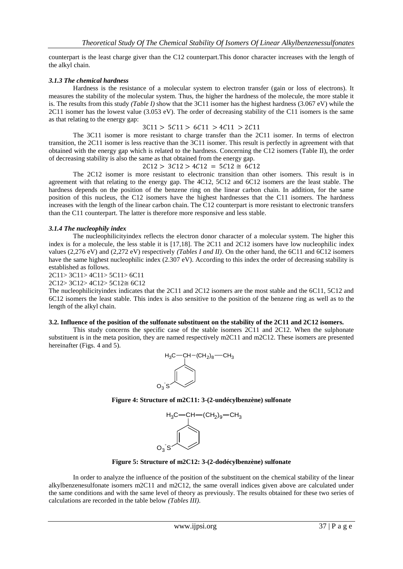counterpart is the least charge giver than the C12 counterpart.This donor character increases with the length of the alkyl chain.

## *3.1.3 The chemical hardness*

Hardness is the resistance of a molecular system to electron transfer (gain or loss of electrons). It measures the stability of the molecular system. Thus, the higher the hardness of the molecule, the more stable it is. The results from this study *(Table I)* show that the 3C11 isomer has the highest hardness (3.067 eV) while the 2C11 isomer has the lowest value (3.053 eV). The order of decreasing stability of the C11 isomers is the same as that relating to the energy gap:

#### $3C11 > 5C11 > 6C11 > 4C11 > 2C11$

The 3C11 isomer is more resistant to charge transfer than the 2C11 isomer. In terms of electron transition, the 2C11 isomer is less reactive than the 3C11 isomer. This result is perfectly in agreement with that obtained with the energy gap which is related to the hardness. Concerning the C12 isomers (Table II), the order of decreasing stability is also the same as that obtained from the energy gap.

 $2C12 > 3C12 > 4C12 = 5C12 \approx 6C12$ 

The 2C12 isomer is more resistant to electronic transition than other isomers. This result is in agreement with that relating to the energy gap. The 4C12, 5C12 and 6C12 isomers are the least stable. The hardness depends on the position of the benzene ring on the linear carbon chain. In addition, for the same position of this nucleus, the C12 isomers have the highest hardnesses that the C11 isomers. The hardness increases with the length of the linear carbon chain. The C12 counterpart is more resistant to electronic transfers than the C11 counterpart. The latter is therefore more responsive and less stable.

## *3.1.4 The nucleophily index*

The nucleophilicityindex reflects the electron donor character of a molecular system. The higher this index is for a molecule, the less stable it is [17,18]. The 2C11 and 2C12 isomers have low nucleophilic index values (2,276 eV) and (2,272 eV) respectively *(Tables I and II)*. On the other hand, the 6C11 and 6C12 isomers have the same highest nucleophilic index (2.307 eV). According to this index the order of decreasing stability is established as follows.

2C11> 3C11> 4C11> 5C11> 6C11

2C12> 3C12> 4C12> 5C12≅ 6C12

The nucleophilicityindex indicates that the 2C11 and 2C12 isomers are the most stable and the 6C11, 5C12 and 6C12 isomers the least stable. This index is also sensitive to the position of the benzene ring as well as to the length of the alkyl chain.

## **3.2. Influence of the position of the sulfonate substituent on the stability of the 2C11 and 2C12 isomers.**

This study concerns the specific case of the stable isomers 2C11 and 2C12. When the sulphonate substituent is in the meta position, they are named respectively m2C11 and m2C12. These isomers are presented hereinafter (Figs. 4 and 5).







**Figure 5: Structure of m2C12: 3-(2-dodécylbenzène) sulfonate**

In order to analyze the influence of the position of the substituent on the chemical stability of the linear alkylbenzenesulfonate isomers m2C11 and m2C12, the same overall indices given above are calculated under the same conditions and with the same level of theory as previously. The results obtained for these two series of calculations are recorded in the table below *(Tables III)*.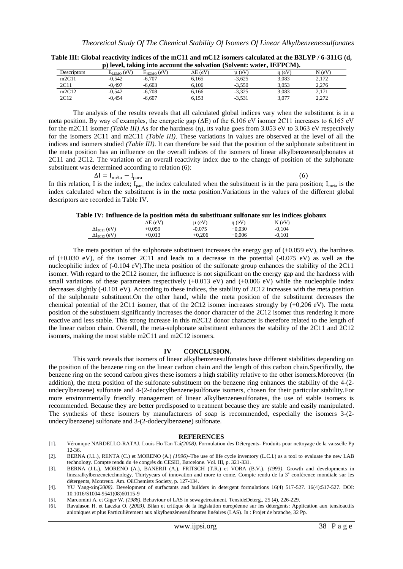| p) level, taking into account the solvation (Solvent: water, IEFPCM). |                 |                 |                 |          |          |        |
|-----------------------------------------------------------------------|-----------------|-----------------|-----------------|----------|----------|--------|
| Descriptors                                                           | $E_{LIMO}$ (eV) | $E_{HOMO}$ (eV) | $\Delta E$ (eV) | u (eV)   | $n$ (eV) | N (eV) |
| m2C11                                                                 | $-0.542$        | $-6.707$        | 6.165           | $-3.625$ | 3.083    | 2,172  |
| 2C11                                                                  | $-0.497$        | $-6.603$        | 6.106           | $-3.550$ | 3.053    | 2.276  |
| m2C12                                                                 | $-0.542$        | $-6.708$        | 6.166           | $-3.325$ | 3.083    | 2.171  |
| 2C12                                                                  | $-0.454$        | $-6.607$        | 6.153           | $-3.531$ | 3.077    | 2.272  |

**Table III: Global reactivity indices of the mC11 and mC12 isomers calculated at the B3LYP / 6-311G (d,** 

The analysis of the results reveals that all calculated global indices vary when the substituent is in a meta position. By way of examples, the energetic gap ( $\Delta E$ ) of the 6,106 eV isomer 2C11 increases to 6,165 eV for the m2C11 isomer *(Table III)*. As for the hardness (n), its value goes from 3.053 eV to 3.063 eV respectively for the isomers 2C11 and m2C11 *(Table III)*. These variations in values are observed at the level of all the indices and isomers studied *(Table III)*. It can therefore be said that the position of the sulphonate substituent in the meta position has an influence on the overall indices of the isomers of linear alkylbenzenesulphonates at 2C11 and 2C12. The variation of an overall reactivity index due to the change of position of the sulphonate substituent was determined according to relation (6):

$$
\Delta I = I_{\text{méta}} - I_{\text{para}} \tag{6}
$$

In this relation, I is the index;  $I_{para}$  the index calculated when the substituent is in the para position;  $I_{meta}$  is the index calculated when the substituent is in the meta position.Variations in the values of the different global descriptors are recorded in Table IV.

|                        | $\Delta E$ (eV) | $\mu$ (eV) | n(eV)    | N(eV)    |
|------------------------|-----------------|------------|----------|----------|
| $\Delta I_{2C11}$ (eV) | $+0.059$        | $-0.075$   | $+0.030$ | $-0.104$ |
| $\Delta I_{2C12}$ (eV) | $+0.013$        | $+0.206$   | $+0.006$ | $-0.101$ |

The meta position of the sulphonate substituent increases the energy gap of  $(+0.059 \text{ eV})$ , the hardness of  $(+0.030 \text{ eV})$ , of the isomer 2C11 and leads to a decrease in the potential  $(-0.075 \text{ eV})$  as well as the nucleophilic index of (-0.104 eV).The meta position of the sulfonate group enhances the stability of the 2C11 isomer. With regard to the 2C12 isomer, the influence is not significant on the energy gap and the hardness with small variations of these parameters respectively  $(+0.013 \text{ eV})$  and  $(+0.006 \text{ eV})$  while the nucleophile index decreases slightly (-0.101 eV). According to these indices, the stability of 2C12 increases with the meta position of the sulphonate substituent.On the other hand, while the meta position of the substituent decreases the chemical potential of the 2C11 isomer, that of the 2C12 isomer increases strongly by  $(+0,206 \text{ eV})$ . The meta position of the substituent significantly increases the donor character of the 2C12 isomer thus rendering it more reactive and less stable. This strong increase in this m2C12 donor character is therefore related to the length of the linear carbon chain. Overall, the meta-sulphonate substituent enhances the stability of the 2C11 and 2C12 isomers, making the most stable m2C11 and m2C12 isomers.

#### **IV CONCLUSION.**

This work reveals that isomers of linear alkylbenzenesulfonates have different stabilities depending on the position of the benzene ring on the linear carbon chain and the length of this carbon chain.Specifically, the benzene ring on the second carbon gives these isomers a high stability relative to the other isomers.Moreover (In addition), the meta position of the sulfonate substituent on the benzene ring enhances the stability of the 4-(2 undecylbenzene) sulfonate and 4-(2-dodecylbenzene)sulfonate isomers, chosen for their particular stability.For more environmentally friendly management of linear alkylbenzenesulfonates, the use of stable isomers is recommended. Because they are better predisposed to treatment because they are stable and easily manipulated. The synthesis of these isomers by manufacturers of soap is recommended, especially the isomers 3-(2 undecylbenzene) sulfonate and 3-(2-dodecylbenzene) sulfonate.

#### **REFERENCES**

- [1]. Véronique NARDELLO-RATAJ, Louis Ho Tan Taî*(2008)*. Formulation des Détergents- Produits pour nettoyage de la vaisselle Pp 12-36.
- [2]. BERNA (J.L.), RENTA (C.) et MORENO (A.) *(1996)*–The use of life cycle inventory (L.C.I.) as a tool to evaluate the new LAB technology. Compte rendu du 4e congrès du CESIO, Barcelone. Vol. III, p. 321-331.
- [3]. BERNA (J.L.), MORENO (A.), BANERJI (A.), FRITSCH (T.R.) et VORA (B.V.). *(1993)*. Growth and developments in linearalkylbenzenetechnology. Thirtyyears of innovation and more to come. Compte rendu de la 3<sup>e</sup> conférence mondiale sur les détergents, Montreux. Am. OilChemists Society, p. 127-134.
- [4]. YU Yang-xin*(2008)*. Development of surfactants and builders in detergent formulations 16(4) 517-527. 16(4):517-527. DOI: 10.1016/S1004-9541(08)60115-9
- [5]. Marcomini A. et Giger W. *(1988)***.** Behaviour of LAS in sewagetreatment. TensideDeterg., 25 (4), 226-229.
- [6]. Ravalason H. et Laczka O. *(2003)*. Bilan et critique de la législation européenne sur les détergents: Application aux tensioactifs anioniques et plus Particulièrement aux alkylbenzènessulfonates linéaires (LAS). In : Projet de branche, 32 Pp.